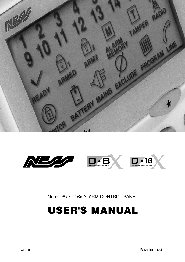



Ness D8x / D16x ALARM CONTROL PANEL

User's MANUAL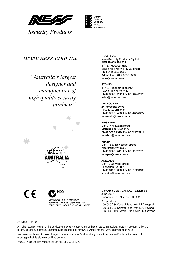



### *www.ness.com.au*

*"Australia's largest designer and manufacturer of high quality security products"*



N<sub>55</sub>

NESS SECURITY PRODUCTS Australian Communications Authority TELECOMMUNICATIONS COMPLIANCE

Head Office: Ness Security Products Pty Ltd ABN 28 069 984 372 4 / 167 Prospect Hwy Seven Hills NSW 2147 Australia Ph +61 2 8825 9222 Admin Fax +61 2 9838 8508 ness@ness.com.au

SYDNEY 4 / 167 Prospect Highway Seven Hills NSW 2147 Ph 02 8825 9222 Fax 02 9674 2520 sales@ness.com.au

MELBOURNE 24 Terracotta Drive Blackburn VIC 3130 Ph 03 9875 6400 Fax 03 9875 6422 nessmelb@ness.com.au

BRISBANE Unit 3, 471 Lytton Road Morningside QLD 4170 Ph 07 3399 4910 Fax 07 3217 9711 nessbris@ness.com.au

PERTH Unit 1, 567 Newcastle Street West Perth WA 6005 Ph 08 9328 2511 Fax 08 9227 7073 nessper@ness.com.au

**ADELAIDE** Unit 1 / 22 Ware Street Thebarton SA 5031 Ph 08 8152 0000 Fax 08 8152 0100 adelaide@ness.com.au

D8x/D16x USER MANUAL Revision 5.6 June 2007

Document Part Number: 890-006

For products: 106-000 D8x Control Panel with LED keypad 106-001 D8x Control Panel with LCD keypad 106-004 D16x Control Panel with LCD keypad

#### Copyright Notice

 $\epsilon$ 

All rights reserved. No part of this publication may be reproduced, transmitted or stored in a retrieval system in any form or by any means, electronic, mechanical, photocopying, recording, or otherwise, without the prior written permission of Ness.

Ness reserves the right to make changes to features and specifications at any time without prior notification in the interest of ongoing product development and improvement.

© 2007 Ness Security Products Pty Ltd ABN 28 069 984 372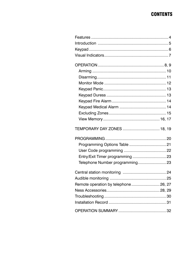## **CONTENTS**

| TEMPORARY DAY ZONES  18, 19           |  |
|---------------------------------------|--|
|                                       |  |
|                                       |  |
|                                       |  |
| Entry/Exit Timer programming  23      |  |
| Telephone Number programming 23       |  |
|                                       |  |
|                                       |  |
| Remote operation by telephone  26, 27 |  |
|                                       |  |
|                                       |  |
|                                       |  |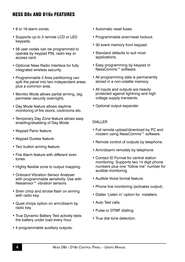## Ness D8x and D16x Features

- 8 or 16 alarm zones.
- Supports up to 3 remote LCD or LED keypads.
- 56 user codes can be programmed to operate by keypad PIN, radio key or access card.
- Optional Ness Radio Interface for fully integrated wireless security.
- Programmable 2 Area partitioning can split the panel into two independent areas plus a common area.
- Monitor Mode allows partial arming, (eg, permieter security overnight).
- Day Mode feature allows daytime monitoring of fire doors, coolrooms etc.
- Temporary Day Zone feature allows easy enabling/disabling of Day Mode.
- Keypad Panic feature.
- Keypad Duress feature.
- Two button arming feature.
- Fire Alarm feature with different siren tones.
- Highly flexible zone to output mapping.
- Onboard Vibration Sensor Analyser with programmable sensitivity. Use with Nessensor™ vibration sensors.
- Siren chirp and strobe flash on arming with radio key.
- Quiet chirps option on arm/disarm by radio key.
- True Dynamic Battery Test actively tests the battery under load every hour.
- 4 programmable auxiliary outputs.
- Automatic reset fuses.
- Programmable siren/reset lockout.
- 30 event memory from keypad.
- Standard defaults to suit most applications.
- Easy programming by keypad or NessComms™ software.
- All programming data is permanently stored in a non-volatile memory.
- All inputs and outputs are heavily protected against lightning and high voltage supply transients.
- Optional output expander.

#### DIALLER

- Full remote upload/download by PC and modem using NessComms™ software.
- Remote control of outputs by telephone.
- Arm/disarm remotely by telephone
- Contact ID Format for central station monitoring. Supports two 14 digit phone numbers plus one "follow me" number for audible monitoring.
- Audible Voice format feature.
- Phone line monitoring (activates output).
- Dialler 'Listen in' option for installers.
- Auto Test calls.
- Pulse or DTMF dialling.
- True dial tone detection.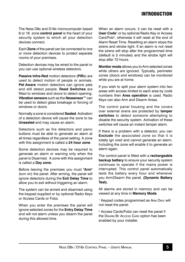## Introduction

The Ness D8x and D16x microcomputer based 8 or 16 zone **control panel** is the heart of your security system to which all your detection devices connect.

Each **Zone** of the panel can be connected to one or more detection devices to protect separate rooms of your premises.

Detection devices may be wired to the panel or you can use optional wireless detectors.

**Passive Infra-Red** motion detectors (**PIR**s) are used to detect motion of people or animals. **Pet Aware** motion detectors can ignore pets and still detect people. **Reed Switches** are fitted to windows and doors to detect opening. **Vibration sensors** such as the **Nessensor™** can be used to detect glass breakage or forcing of windows or doors.

Normally a zone is considered **Sealed**. Activation of a detection device will cause the zone to be **Unsealed** and may cause an alarm.

Detectors such as fire detectors and panic buttons must be able to generate an alarm at all times regardless of the panel setting. A zone with this assignment is called a **24 hour zone**.

Some detection devices may be required to generate an alarm or warning only when the panel is Disarmed. A zone with this assignment is called a **Day zone.**

Before leaving the premises you must **"Arm"** (turn on) the panel. After arming, the panel will ignore detectors during the **Exit Delay Time** to allow you to exit without triggering an alarm.

The system can be armed and disarmed using the keypad supplied or by optional Radio Keys or Access Cards or Fobs.

When you enter the premises the panel will ignore selected zones for the **Entry Delay Time**  and will not alarm unless you disarm the panel during this allowed time.

When an alarm occurs, it can be reset with a **User Code**<sup>1</sup> or by optional Radio Key or Access Card/Fob<sup>2</sup>, otherwise it will reset at the end of Alarm Reset Time. Resetting an alarm stops the sirens and strobe light. If an alarm is not reset the sirens will stop after the programmed time (default is 5 minutes) and the strobe light will stop after 72 hours.

**Monitor mode** allows you to Arm selected zones while others are ignored. Typically, perimeter zones (doors and windows) can be monitored while you are at home.

If you wish to split your alarm system into two areas with access limited to each area by code numbers then **Area operation** is used. Radio Keys can also Arm and Disarm Areas.

The control panel housing and the covers over external sirens are protected by **tamper switches** to detect someone attempting to disable the security system. Activation of these switches will cause an instant tamper alarm.

If there is a problem with a detector, you can **Exclude** the associated zone so that it is totally ign ored and cannot generate an alarm. Including the zone will enable it to generate an alarm again.

The control panel is fitted with a **rechargeable backup battery** to ensure your security system continues to operate if the mains power is interrupted. This control panel automatically tests the battery every hour and whenever you Arm/Disarm the panel. **(Dynamic Battery Test).**

All alarms are stored in memory and can be viewed at any time in **Memory Mode**.

<sup>1</sup> Keypad codes programmed as ARM ONLY will not reset the panel.

2 Access Cards/Fobs can reset the panel if the Disarm By Access Carp option has been enabled by your installer.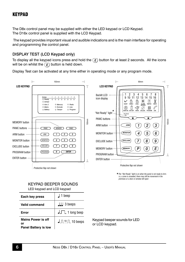## **KEYPAD**

The D8x control panel may be supplied with either the LED keypad or LCD Keypad. The D16x control panel is supplied with the LCD Keypad.

The keypad provides important visual and audible indications and is the main interface for operating and programming the control panel.

## Display TEST (LCD Keypad only)

To display all the keypad icons press and hold the  $\overline{E}$  button for at least 2 seconds. All the icons will be on whilst the  $\left(\overline{E}\right)$  button is held down.

Display Test can be activated at any time either in operating mode or any program mode.



*The "Not Ready" light is on when the panel is not ready to Arm. i.e, a zone is unsealed, there may still be movement in the premises or a door or window left open*

#### KEYPAD BEEPER SOUNDS LED keypad and LCD keypad

| Each key press                                                 | $\perp$ 1 beep                          |
|----------------------------------------------------------------|-----------------------------------------|
| Valid command                                                  | $\Box$ 3 beeps                          |
| Error                                                          | $J_{\perp}$ 1 long beep                 |
| <b>Mains Power is off</b><br>or<br><b>Panel Battery is low</b> | $J \mathbb{R}^{10} \mathbb{R}$ 10 beeps |

Keypad beeper sounds for LED or LCD keypad.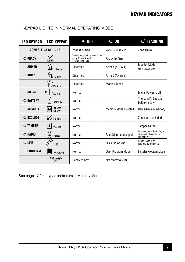## Keypad indicators

| <b>LED KEYPAD</b> | <b>LCD KEYPAD</b>                | $\bullet$ OFF                                                                  | $\circ$ on             | -O-FLASHING                                                              |
|-------------------|----------------------------------|--------------------------------------------------------------------------------|------------------------|--------------------------------------------------------------------------|
|                   | ZONES $1 - 8$ or $1 - 16$        | Zone is sealed                                                                 | Zone is unsealed       | Zone alarm                                                               |
| $\circ$ READY     | READY                            | Zone is unsealed, or Power fault<br>or System is Armed,<br>or phone line fault | Ready to Arm           |                                                                          |
| $\circ$ armed     | f<br>ARMFD                       | Disarmed                                                                       | Armed (AREA 1)         | <b>Monitor Mode</b><br>(LED Keypad only)                                 |
| $\circ$ ARM2      | $\sqrt{v}_2$<br>ARM2             | Disarmed                                                                       | Armed (AREA 2)         |                                                                          |
|                   | b<br><b>MONITOR</b>              | Disarmed                                                                       | <b>Monitor Mode</b>    |                                                                          |
| $\circ$ MAINS     | Б<br>□<br><b>MAINS</b>           | Normal                                                                         |                        | Mains Power is off                                                       |
| ○ BATTERY         | $\overline{+}$<br><b>BATTERY</b> | Normal                                                                         |                        | The panel's backup<br>battery is low                                     |
| $\circ$ MEMORY    | ALARM<br>MEMORY<br>M             | Normal                                                                         | Memory Mode selected   | New alarms in memory                                                     |
| $\circ$ exclude   | <b>FXCLUDE</b>                   | Normal                                                                         |                        | Zones are excluded                                                       |
| $\bigcirc$ TAMPER | Τ<br><b>TAMPER</b>               | Normal                                                                         |                        | Tamper alarm                                                             |
| $\circ$ RADIO     | 2<br><b>RADIO</b>                | Normal                                                                         | Receiving radio signal | Indicates that a Radio Key or<br>other radio device has a<br>low battery |
| $\circ$ line      | LINE                             | Normal                                                                         | Dialler is on line     | Phone line fault or<br>failure to communicate                            |
| $\circ$ Program   | 同<br>PROGRAM                     | Normal                                                                         | User Program Mode      | Installer Program Mode                                                   |
|                   | <b>Not Ready</b><br>O            | Ready to Arm                                                                   | Not ready to Arm       |                                                                          |

## KEYPAD LIGHTS IN NORMAL OPERATING MODE

See page 17 for keypad indicators in Memory Mode.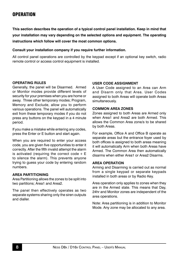**This section describes the operation of a typical control panel installation. Keep in mind that your installation may vary depending on the selected options and equipment. The operating instructions which follow will cover the most common options.**

#### **Consult your installation company if you require further information.**

All control panel operations are controlled by the keypad except if an optional key switch, radio remote control or access control equipment is installed.

#### **Operating Rules**

Generally, the panel will be Disarmed. Armed or Monitor modes provide different levels of security for your premises when you are home or away. Three other temporary modes; Program, Memory and Exclude, allow you to perform various operations. The panel will automatically exit from these temporary modes if you do not press any buttons on the keypad in a 4 minute period.

If you make a mistake while entering any codes, press the Enter or E button and start again.

When you are required to enter your access code, you are given five opportunities to enter it correctly. After the fifth invalid attempt the alarm is activated (requiring the correct code  $+ E$ to silence the alarm). This prevents anyone trying to guess your code by entering random numbers.

#### **Area Partitioning**

Area Partitioning allows the zones to be split into two partitions; Area1 and Area2.

The panel then effectively operates as two separate systems sharing only the siren outputs and dialler.

#### **User Code Assignment**

A User Code assigned to an Area can Arm and Disarm only that Area. User Codes assigned to both Areas will operate both Areas simultaneously.

#### **Common Area zones**

Zones assigned to both Areas are Armed only when Area1 and Area2 are both Armed. This allows the Common Area zone/s to be shared by both Areas.

For example, Office A and Office B operate as separate areas but the entrance foyer used by both offices is assigned to both areas meaning it will automatically Arm when both Areas have Armed. The Common Area then automatically disarms when either Area1 or Area2 Disarms.

#### **Area Operation**

Arming and Disarming is carried out as normal from a single keypad or separate keypads installed in both areas or by Radio Key.

Area operation only applies to zones when they are in the Armed state. This means that Day, 24hr and Monitor zones are independent of the area operations.

Note: Area partitioning is in addition to Monitor Mode. Any zone may be allocated to any area.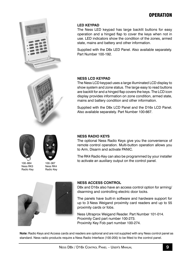

#### **LED Keypad**

The Ness LED keypad has large backlit buttons for easy operation and a hinged flap to cover the keys when not in use. LED indicators show the condition of the zones, armed state, mains and battery and other information.

Supplied with the D8x LED Panel. Also available separately. Part Number 100-192.

#### **Ness LCD Keypad**

The Ness LCD keypad uses a large illuminated LCD display to show system and zone status. The large easy to read buttons are backlit for and a hinged flap covers the keys. The LCD icon display provides information on zone condition, armed state, mains and battery condition and other information.

Supplied with the D8x LCD Panel and the D16x LCD Panel. Also available separately. Part Number 100-667.



100–664 Ness RK3 Radio Key



100–067 Ness RK4 Radio Key

#### **Ness Radio Keys**

The optional Ness Radio Keys give you the convenience of remote control operation. Multi-button operation allows you to Arm, Disarm and activate PANIC.

The RK4 Radio Key can also be programmed by your installer to activate an auxiliary output on the control panel.



#### **Ness Access Control**

D8x and D16x also have an access control option for arming/ disarming and controlling electric door locks.

The panels have built-in software and hardware support for up to 3 Ness Weigand proximity card readers and up to 55 proximity cards or fobs.

Ness Ultraprox Weigand Reader. Part Number 101-014. Proximity Card part number 100-273. Proximity Key Fob part number 100-274.

**Note:** Radio Keys and Access cards and readers are optional and are not supplied with any Ness control panel as standard. Ness radio products require a Ness Radio Interface (100-200) to be fitted to the control panel.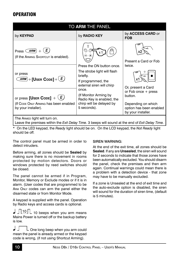| TO ARM THE PANEL                                                                                                                                  |                                                                                                                         |                                                                                                         |
|---------------------------------------------------------------------------------------------------------------------------------------------------|-------------------------------------------------------------------------------------------------------------------------|---------------------------------------------------------------------------------------------------------|
| by <b>KEYPAD</b>                                                                                                                                  | by RADIO KEY                                                                                                            | by <b>ACCESS CARD</b> or<br><b>FOB</b>                                                                  |
| E,<br>Press $(ARM)$<br>(If the ARMING SHORTCUT is enabled).                                                                                       | ☜                                                                                                                       | Present a Card or Fob                                                                                   |
| or press<br>$(\widehat{\mathit{ARM}}) + \textsf{[User Cone]} + (\mathit{E})$                                                                      | Press the ON button once.<br>The strobe light will flash<br>briefly.<br>If programmed, the<br>external siren will chirp | twice.<br>Or, present a Card                                                                            |
| or press [UsER CODE] + $(E)$<br>(If CODE ONLY ARMING has been enabled<br>by your installer).                                                      | once.<br>(If Monitor Arming by<br>Radio Key is enabled, the<br>chirp will be delayed by<br>5 seconds).                  | or Fob once $+$ press<br>button.<br>Depending on which<br>option has been enabled<br>by your installer. |
| The ARMED light will turn on.<br>Leave the premises within the <i>Exit Delay Time</i> . 3 beeps will sound at the end of <i>Exit Delay Time</i> . |                                                                                                                         |                                                                                                         |

\* On the LED keypad, the *Ready* light should be on. On the LCD keypad, the *Not Ready* light should be off.

The control panel must be armed in order to detect intruders.

Before arming, all zones should be **Sealed** by making sure there is no movement in rooms protected by motion detectors. Doors or windows protected by reed switches should be closed.

The panel cannot be armed if in Program, Monitor, Memory or Exclude modes or if it is in alarm. (User codes that are programmed to be Arm Only codes can arm the panel either the disarmed state or from Monitor Mode.

A keypad is supplied with the panel. Operation by Radio keys and access cards is optional.

 $\int \frac{10}{\pi}$  10 beeps when you arm means Mains Power is turned off or the backup battery is low.

┙ L One long beep when you arm could mean the panel is already armed or the keypad code is wrong, (if not using Shortcut Arming).

#### SIREN WARNING:

At the end of the exit time, all zones should be **Sealed**. If any are **Unsealed**, the siren will sound for 2 seconds to indicate that those zones have been automatically excluded. You should disarm the panel, check the premises and then arm again. Continual warnings could mean there is a problem with a detection device - that zone may have to be manually excluded.

If a zone is Unsealed at the end of exit time and the auto-exclude option is disabled, the siren will sound for the duration of siren time, (default is 5 minutes).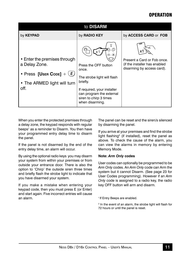| to DISARM                                                                                                           |                                                                                                                                                                                  |                                                                                            |  |
|---------------------------------------------------------------------------------------------------------------------|----------------------------------------------------------------------------------------------------------------------------------------------------------------------------------|--------------------------------------------------------------------------------------------|--|
| by <b>KEYPAD</b>                                                                                                    | by RADIO KEY                                                                                                                                                                     | by ACCESS CARD or FOB                                                                      |  |
| • Enter the premises through<br>a Delay Zone.<br>• Press [User Code] + $(E)$<br>• The ARMED light will turn<br>off. | Press the OFF button<br>once.<br>The strobe light will flash<br>briefly.<br>If required, your installer<br>can program the external<br>siren to chirp 3 times<br>when disarming. | Present a Card or Fob once.<br>(if the installer has enabled<br>disarming by access card). |  |

When you enter the protected premises through a delay zone, the keypad responds with regular beeps<sup>1</sup> as a reminder to Disarm. You then have your programmed entry delay time to disarm the panel.

If the panel is not disarmed by the end of the entry delay time, an alarm will occur.

By using the optional radio keys you may disarm your system from within your premises or from outside your entrance door. There is also the option to 'Chirp' the outside siren three times and briefly flash the strobe light to indicate that you have disarmed your system.

If you make a mistake when entering your keypad code, then you must press E (or Enter) and start again. Five incorrect entries will cause an alarm.

The panel can be reset and the siren/s silenced by disarming the panel.

If you arrive at your premises and find the strobe light flashing<sup>2</sup> (if installed), reset the panel as above. To check the cause of the alarm, you can view the alarms in memory by entering Memory Mode.

#### **Note:** *Arm Only* **codes**

User codes can optionally be programmed to be *Arm Only* codes. An *Arm Only* code can Arm the system but it cannot Disarm. (See page 23 for User Codes programming). However if an *Arm Only* code is assigned to a radio key, the radio key OFF button will arm and disarm.

<sup>1</sup> If Entry Beeps are enabled.

2 In the event of an alarm, the strobe light will flash for 72 hours or until the panel is reset.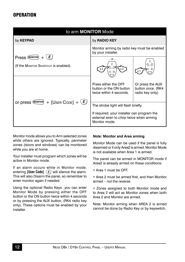| to arm <b>MONITOR</b> Mode                                     |                                                                                                                                                   |  |
|----------------------------------------------------------------|---------------------------------------------------------------------------------------------------------------------------------------------------|--|
| by <b>KEYPAD</b>                                               | by RADIO KEY                                                                                                                                      |  |
|                                                                | Monitor arming by radio key must be enabled<br>by your installer.                                                                                 |  |
| E.<br>Press (MONITOR)<br>(If the MONITOR SHORTCUT is enabled). | $\ldots$ Or $\ldots$                                                                                                                              |  |
|                                                                | Press either the OFF<br>Or press the AUX<br>button or the ON button<br>button once. (RK4<br>twice within 4 seconds.<br>radio key only).           |  |
| + [USER CODE] + $(E)$<br>Or press (MONITOR)                    | The strobe light will flash briefly.<br>If required, your installer can program the<br>external siren to chirp twice when arming<br>Monitor mode. |  |

Monitor mode allows you to Arm selected zones while others are ignored. Typically, perimeter zones (doors and windows) can be monitored while you are at home.

Your installer must program which zones will be active in Monitor mode.

If an alarm occurs while in Monitor mode, entering **[User Code]**  $\overline{E}$  will silence the alarm. This will also Disarm the panel, so remember to enter monitor again if needed.

Using the optional Radio Keys you can enter Monitor Mode by pressing either the OFF button or the ON button twice within 4 seconds or by pressing the AUX button, (RK4 radio key only). These options must be enabled by your installer.

#### *Note:* **Monitor and Area arming**

Monitor Mode can be used if the panel is fully disarmed or if only Area2 is armed. Monitor Mode is not available when Area 1 is armed.

The panel can be armed in MONITOR mode if Area2 is already armed on these conditions:

- Area 1 must be OFF.
- Area 2 must be armed first, and then Monitor armed – not the reverse.

• Zones assigned to both Monitor mode and to Area 2 will act as Monitor zones when both Area 2 and Monitor are armed.

Note: Monitor arming when AREA 2 is armed cannot be done by Radio Key or by keyswitch.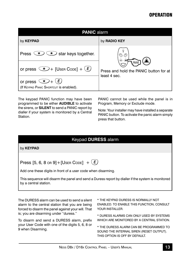| <b>PANIC alarm</b>                                                                |                                                        |  |
|-----------------------------------------------------------------------------------|--------------------------------------------------------|--|
| by <b>KEYPAD</b>                                                                  | by RADIO KEY                                           |  |
| $\left(\star\right)$ star keys together.<br>ごセン<br>Press                          | $\oplus$                                               |  |
| or press $\rightarrow$ [UsER CoDE] + $(E)$                                        | Press and hold the PANIC button for at<br>least 4 sec. |  |
| (E)<br>$\sqrt{\frac{1}{2}}$<br>or press<br>(If KEYPAD PANIC SHORTCUT is enabled). |                                                        |  |

The keypad PANIC function may have been programmed to be either **AUDIBLE** to activate the sirens, or **SILENT** to send a PANIC report by dialler if your system is monitored by a Central **Station** 

PANIC cannot be used while the panel is in Program, Memory or Exclude mode.

Note: Your installer may have installed a separate panic button. To activate the panic alarm simply press that button.

## Keypad **Duress** alarm

by **KEYPAD** 

Press [5, 6, 8 or 9] + [User Code]  $+$   $(E)$ 

Add one these digits in front of a user code when disarming.

This sequence will disarm the panel and send a Duress report by dialler if the system is monitored by a central station.

The DURESS alarm can be used to send a silent alarm to the central station that you are being forced to disarm the panel against your will. That is; you are disarming under "duress."

To disarm and send a DURESS alarm, prefix your User Code with one of the digits 5, 6, 8 or 9 when Disarming.

\* The Keypad DURESS is normally not enabled. To enable this function, consult YOUR INSTALLER.

\* DURESS alarms can only used by systems WHICH ARE MONITORED BY A CENTRAL STATION.

\* The DURESS alarm can be programmed to sound the internal siren (Reset output). THIS OPTION IS OFF BY DEFAULT.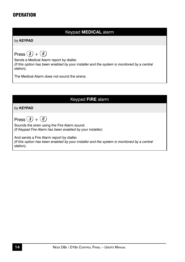## Keypad **Medical** alarm

by **keypad**

Press  $(2) + (E)$ 

Sends a Medical Alarm report by dialler. *(If this option has been enabled by your installer and the system is monitored by a central station).*

The Medical Alarm does not sound the sirens.

## Keypad **Fire** alarm

by **keypad**

Press  $(3) + (E)$ 

Sounds the siren using the Fire Alarm sound. *(If Keypad Fire Alarm has been enabled by your installer).*

And sends a Fire Alarm report by dialler. *(If this option has been enabled by your installer and the system is monitored by a central station).*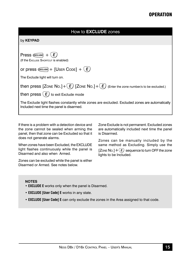|  | by <b>KEYPAD</b> |  |
|--|------------------|--|
|--|------------------|--|

| (E)<br>$Press$ ( <i>EXCLUDE</i> ) $+$                                                                                                        |
|----------------------------------------------------------------------------------------------------------------------------------------------|
| (If the Exclupe SHORTCUT is enabled)                                                                                                         |
| or press $\mathcal{C}(\mathcal{C}(\mathcal{A}))$ [User Code] + $(E)$                                                                         |
| The Exclude light will turn on.                                                                                                              |
| then press $[Z$ ONE NO.] + $(E)$ $[Z$ ONE NO.] + $(E)$ (Enter the zone number/s to be excluded.)                                             |
| then press $(E)$ to exit Exclude mode                                                                                                        |
| The Exclude light flashes constantly while zones are excluded. Excluded zones are automatically<br>Included next time the panel is disarmed. |
|                                                                                                                                              |

If there is a problem with a detection device and the zone cannot be sealed when arming the panel, then that zone can be Excluded so that it does not generate alarms.

When zones have been Excluded, the EXCLUDE light flashes continuously while the panel is Disarmed and also when Armed.

Zones can be excluded while the panel is either Disarmed or Armed. See notes below.

Zone Exclude is not permanent. Excluded zones are automatically included next time the panel is Disarmed.

Zones can be manually included by the same method as Excluding. Simply use the [Zone No.]  $+$  ( $\overline{E}$ ) sequence to turn OFF the zone lights to be Included.

#### **NOTEs**

- **EXCLUDE E** works only when the panel is Disarmed.
- **EXCLUDE [User Code] E** works in any state.
- **EXCLUDE [User Code] E** can only exclude the zones in the Area assigned to that code.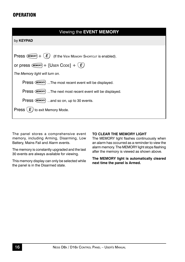| Viewing the EVENT MEMORY                                                 |
|--------------------------------------------------------------------------|
| by <b>KEYPAD</b>                                                         |
|                                                                          |
| $Press$ (MEMORY) $+$<br>(E)<br>(If the VIEW MEMORY SHORTCUT is enabled). |
| or press $(\text{Memory}) + [\text{User Cone}] + (E)$                    |
| The Memory light will turn on.                                           |
| Press (MEMORY) The most recent event will be displayed.                  |
| Press (MEMORY) The next most recent event will be displayed.             |
| Press (MEMORY)  and so on, up to 30 events.                              |
| to exit Memory Mode.<br>Press <sup>(</sup>                               |
|                                                                          |

The panel stores a comprehensive event memory, including Arming, Disarming, Low Battery, Mains Fail and Alarm events.

The memory is constantly upgraded and the last 30 events are always available for viewing.

This memory display can only be selected while the panel is in the Disarmed state.

#### **To Clear the Memory light**

The MEMORY light flashes continuously when an alarm has occurred as a reminder to view the alarm memory. The MEMORY light stops flashing after the memory is viewed as shown above.

**The MEMORY light is automatically cleared next time the panel is Armed.**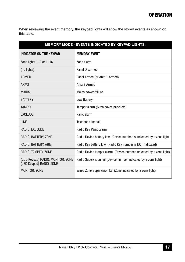When reviewing the event memory, the keypad lights will show the stored events as shown on this table.

| <b>MEMORY MODE - EVENTS INDICATED BY KEYPAD LIGHTS:</b>       |                                                                       |  |
|---------------------------------------------------------------|-----------------------------------------------------------------------|--|
| INDICATOR ON THE KEYPAD                                       | <b>MEMORY EVENT</b>                                                   |  |
| Zone lights $1-8$ or $1-16$                                   | Zone alarm                                                            |  |
| (no lights)                                                   | Panel Disarmed                                                        |  |
| <b>ARMFD</b>                                                  | Panel Armed (or Area 1 Armed)                                         |  |
| ARM <sub>2</sub>                                              | Area 2 Armed                                                          |  |
| <b>MAINS</b>                                                  | Mains power failure                                                   |  |
| <b>BATTERY</b>                                                | Low Battery                                                           |  |
| <b>TAMPFR</b>                                                 | Tamper alarm (Siren cover, panel etc)                                 |  |
| <b>EXCLUDE</b>                                                | Panic alarm                                                           |  |
| <b>LINE</b>                                                   | Telephone line fail                                                   |  |
| RADIO, EXCLUDE                                                | Radio Key Panic alarm                                                 |  |
| RADIO, BATTERY, ZONE                                          | Radio Device battery low, (Device number is indicated by a zone light |  |
| RADIO, BATTERY, ARM                                           | Radio Key battery low, (Radio Key number is NOT indicated)            |  |
| RADIO, TAMPER, ZONE                                           | Radio Device tamper alarm, (Device number indicated by a zone light)  |  |
| (LCD Keypad) RADIO, MONITOR, ZONE<br>(LED Keypad) RADIO, ZONE | Radio Supervision fail (Device number indicated by a zone light)      |  |
| MONITOR, ZONE                                                 | Wired Zone Supervision fail (Zone indicated by a zone light)          |  |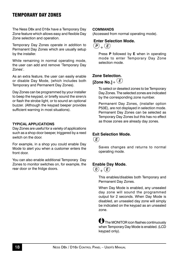## Temporary day Zones

The Ness D8x and D16x have a Temporary Day Zone feature which allows easy and flexible Day Zone selection and operation.

Temporary Day Zones operate in addition to Permanent Day Zones which are usually setup by the installer.

While remaining in normal operating mode, the user can add and remove 'Temporary Day Zones'.

As an extra feature, the user can easily enable or disable Day Mode, (which includes both Temporary and Permanent Day Zones).

Day Zones can be programmed by your installer to beep the keypad, or briefly sound the siren/s or flash the strobe light, or to sound an optional buzzer. (Although the keypad beeper provides sufficient warning in most situations).

#### **Typical Applications**

Day Zones are useful for a variety of applications such as a shop door beeper, triggered by a reed switch on the door.

For example, in a shop you could enable Day Mode to alert you when a customer enters the front door.

You can also enable additional Temporary Day Zones to monitor switches on, for example, the rear door or the fridge doors.

#### **commandS**

(Accessed from normal operating mode).

## **Enter Selection Mode.**

 $(P)$ <sub>+</sub> $(E)$ 

Press **P** followed by **E** when in operating mode to enter Temporary Day Zone selection mode.

## **Zone Selection. [Zone No.1+**  $\overline{E}$ )

To select or deselect zones to be Temporary Day Zones. The selected zones are indicated by the corresponding zone number.

Permanent Day Zones, (installer option P53E), are not displayed in selection mode. Permanent Day Zones can be selected as Temporary Day Zones but this has no effect as those zones are already day zones.

### **Exit Selection Mode.**



Saves changes and returns to normal operating mode.

## **Enable Day Mode.**



This enables/disables both Temporary and Permanent Day Zones.

When Day Mode is enabled, any unsealed day zone will sound the programmed output for 2 seconds. When Day Mode is disabled, an unsealed day zone will simply be indicated on the keypad as an unsealed zone.

 $\bigoplus$  The MONITOR icon flashes continuously when Temporary Day Mode is enabled. (LCD keypad only).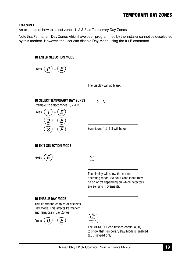## Temporary day Zones

#### **Example**

An example of how to select zones 1, 2 & 3 as Temporary Day Zones.

Note that Permanent Day Zones which have been programmed by the installer cannot be deselected by this method. However, the user can disable Day Mode using the **0**+**E** command.

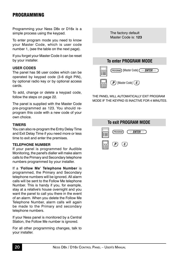## **PROGRAMMING**

Programming your Ness D8x or D16x is a simple process using the keypad.

To enter program mode you need to know your Master Code, which is user code number 1, (see the table on the next page).

If you forget your Master Code it can be reset by your installer.

#### **User Codes**

The panel has 56 user codes which can be operated by keypad code (3-6 digit PIN), by optional radio key or by optional access cards.

To add, change or delete a keypad code, follow the steps on page 22.

The panel is supplied with the Master Code pre-programmed as 123. You should reprogram this code with a new code of your own choice.

#### **Timers**

You can also re-program the Entry Delay Time and Exit Delay Time if you need more or less time to exit and enter the premises.

#### **Telephone Number**

If your panel is programmed for Audible Monitoring, the panel's dialler will make alarm calls to the Primary and Secondary telephone numbers programmed by your installer.

If a **'Follow Me' Telephone Number** is programmed, the Primary and Secondary telephone numbers will be ignored. All alarm calls will be sent to the Follow Me telephone Number. This is handy if you, for example, stay at a relative's house overnight and you want the panel to call you there in the event of an alarm. When you delete the Follow Me Telephone Number, alarm calls will again be made to the Primary and secondary telephone numbers.

If your Ness panel is monitored by a Central Station, the Follow Me number is ignored.

For all other programming changes, talk to your installer.

The factory default Master Code is: **123**

## **To enter PROGRAM MODE**



The panel will automatically exit Program Mode if the keypad is inactive for 4 minutes.

| <b>To exit PROGRAM MODE</b> |                                      |  |  |  |  |  |  |
|-----------------------------|--------------------------------------|--|--|--|--|--|--|
|                             | PROGRAM)<br>$(\cdots$ enter $\cdots$ |  |  |  |  |  |  |
|                             | $P$ )<br>E)                          |  |  |  |  |  |  |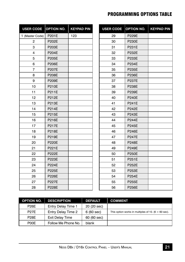## Programming Options Table

| <b>USER CODE</b> | <b>OPTION NO.</b> | <b>KEYPAD PIN</b> |
|------------------|-------------------|-------------------|
| 1 (Master Code)  | P201E             | 123               |
| 2                | P202E             |                   |
| 3                | P203E             |                   |
| 4                | <b>P204E</b>      |                   |
| 5                | P205E             |                   |
| 6                | <b>P206E</b>      |                   |
| $\overline{7}$   | <b>P207E</b>      |                   |
| 8                | P208E             |                   |
| 9                | P209E             |                   |
| 10               | P210E             |                   |
| 11               | P211E             |                   |
| 12               | P212E             |                   |
| 13               | P213E             |                   |
| 14               | <b>P214E</b>      |                   |
| 15               | P215E             |                   |
| 16               | P216E             |                   |
| 17               | P217E             |                   |
| 18               | P218E             |                   |
| 19               | P219E             |                   |
| 20               | <b>P220E</b>      |                   |
| 21               | P221E             |                   |
| 22               | <b>P222E</b>      |                   |
| 23               | <b>P223E</b>      |                   |
| 24               | <b>P224E</b>      |                   |
| 25               | <b>P225E</b>      |                   |
| 26               | <b>P226E</b>      |                   |
| 27               | <b>P227E</b>      |                   |
| 28               | <b>P228E</b>      |                   |

| <b>USER CODE</b> | <b>OPTION NO.</b> | <b>KEYPAD PIN</b> |
|------------------|-------------------|-------------------|
| 29               | P229E             |                   |
| 30               | <b>P230E</b>      |                   |
| 31               | P231E             |                   |
| 32               | P232E             |                   |
| 33               | P233E             |                   |
| 34               | <b>P234E</b>      |                   |
| 35               | P235E             |                   |
| 36               | P236E             |                   |
| 37               | <b>P237E</b>      |                   |
| 38               | <b>P238E</b>      |                   |
| 39               | P239E             |                   |
| 40               | <b>P240E</b>      |                   |
| 41               | P241E             |                   |
| 42               | <b>P242E</b>      |                   |
| 43               | P243E             |                   |
| 44               | <b>P244E</b>      |                   |
| 45               | P245E             |                   |
| 46               | <b>P246E</b>      |                   |
| 47               | <b>P247E</b>      |                   |
| 48               | P248E             |                   |
| 49               | P249E             |                   |
| 50               | P250E             |                   |
| 51               | P251E             |                   |
| 52               | P252E             |                   |
| 53               | P253E             |                   |
| 54               | P254E             |                   |
| 55               | P255E             |                   |
| 56               | P256E             |                   |

| <b>OPTION NO.</b> | <b>DESCRIPTION</b>        | <b>DEFAULT</b> | <b>COMMENT</b>                                      |
|-------------------|---------------------------|----------------|-----------------------------------------------------|
| <b>P26F</b>       | <b>Entry Delay Time 1</b> | 20 (20 sec)    |                                                     |
| <b>P27E</b>       | Entry Delay Time 2        | 6(60 sec)      | This option works in multiples of 10. (6 = 60 sec). |
| <b>P28E</b>       | <b>Exit Delay Time</b>    | 60 (60 sec)    |                                                     |
| P00E              | Follow Me Phone No.       | blank          |                                                     |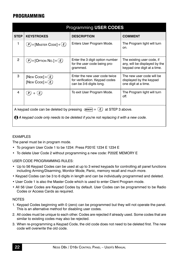## **PROGRAMMING**

| Programming USER CODES                                                                                                                                                                 |                                                           |                                                                                            |                                                                                            |  |  |  |  |  |  |
|----------------------------------------------------------------------------------------------------------------------------------------------------------------------------------------|-----------------------------------------------------------|--------------------------------------------------------------------------------------------|--------------------------------------------------------------------------------------------|--|--|--|--|--|--|
| <b>STEP</b>                                                                                                                                                                            | <b>KEYSTROKES</b><br><b>DESCRIPTION</b><br><b>COMMENT</b> |                                                                                            |                                                                                            |  |  |  |  |  |  |
| 1                                                                                                                                                                                      | $(P)$ + [Master Code] + $(E)$                             | Enters User Program Mode.                                                                  | The Program light will turn<br>on.                                                         |  |  |  |  |  |  |
| $\overline{2}$                                                                                                                                                                         | $(P)$ + [Option No.] + $(E)$                              | Enter the 3 digit option number<br>for the user code being pro-<br>grammed.                | The existing user code, if<br>any, will be displayed by the<br>keypad one digit at a time. |  |  |  |  |  |  |
| 3                                                                                                                                                                                      | [New Code] + $(E)$<br>[New Cope] + $(E)$                  | Enter the new user code twice<br>for verification. Keypad codes<br>can be 3-6 digits long. | The new user code will be<br>displayed by the keypad<br>one digit at a time.               |  |  |  |  |  |  |
| 4                                                                                                                                                                                      | P)<br>(E)                                                 | To exit User Program Mode.                                                                 | The Program light will turn<br>off.                                                        |  |  |  |  |  |  |
| A keypad code can be deleted by pressing $(\text{Memory}) + (E)$<br>at STEP 3 above.<br>$\bigoplus$ A keypad code only needs to be deleted if you're not replacing it with a new code. |                                                           |                                                                                            |                                                                                            |  |  |  |  |  |  |

#### **FXAMPI FS**

The panel must be in program mode.

- To program User Code 1 to be 1234: Press P201E 1234 E 1234 E
- To delete User Code 2 without programming a new code: P202E MEMORY E

User Code programming rules:

- Up to 56 Keypad Codes can be used at up to 3 wired keypads for controlling all panel functions including Arming/Disarming, Monitor Mode, Panic, memory recall and much more.
- Keypad Codes can be 3 to 6 digits in length and can be individually programmed and deleted.
- User Code 1 is also the Master Code which is used to enter Client Program mode.
- All 56 User Codes are Keypad Codes by default. User Codes can be programmed to be Radio Codes or Access Cards as required.

#### **NOTES**

- 1. Keypad Codes beginning with 0 (zero) can be programmed but they will not operate the panel. This is an alternative method for disabling user codes.
- 2. All codes must be unique to each other. Codes are rejected if already used. Some codes that are similar to existing codes may also be rejected.
- 3. When re-programming a Keypad Code, the old code does not need to be deleted first. The new code will overwrite the old code.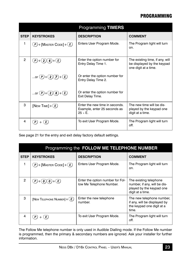## **PROGRAMMING**

|                | <b>Programming TIMERS</b>   |                                                                              |                                                                                       |  |  |  |  |  |  |  |
|----------------|-----------------------------|------------------------------------------------------------------------------|---------------------------------------------------------------------------------------|--|--|--|--|--|--|--|
| <b>STEP</b>    | <b>KEYSTROKES</b>           | <b>DESCRIPTION</b>                                                           | <b>COMMENT</b>                                                                        |  |  |  |  |  |  |  |
| 1              | $(P)$ +[Master Code]+ $(E)$ | Enters User Program Mode.                                                    | The Program light will turn<br>on.                                                    |  |  |  |  |  |  |  |
| $\overline{2}$ | $(P)+(2)(6)+(E)$            | Enter the option number for<br>Entry Delay Time 1.                           | The existing time, if any, will<br>be displayed by the keypad<br>one digit at a time. |  |  |  |  |  |  |  |
|                | or $(D+(2)(7)+E)$           | Or enter the option number for<br>Entry Delay Time 2.                        |                                                                                       |  |  |  |  |  |  |  |
|                | or $(P)+(2)(8)+(E)$         | Or enter the option number for<br>Exit Delay Time.                           |                                                                                       |  |  |  |  |  |  |  |
| 3              | [New TIME] + $(E)$          | Fnter the new time in seconds.<br>Example, enter 25 seconds as<br>$25 + F$ . | The new time will be dis-<br>played by the keypad one<br>digit at a time.             |  |  |  |  |  |  |  |
| 4              | $\mathsf{P}$<br>(E)         | To exit User Program Mode.                                                   | The Program light will turn<br>off.                                                   |  |  |  |  |  |  |  |

See page 21 for the entry and exit delay factory default settings.

|                | Programming the FOLLOW ME TELEPHONE NUMBER |                                                              |                                                                                                        |  |  |  |  |  |  |  |
|----------------|--------------------------------------------|--------------------------------------------------------------|--------------------------------------------------------------------------------------------------------|--|--|--|--|--|--|--|
| <b>STEP</b>    | <b>KEYSTROKES</b>                          | <b>DESCRIPTION</b>                                           | <b>COMMENT</b>                                                                                         |  |  |  |  |  |  |  |
| 1              | $(P)$ +[Master Code]+ $(E)$                | Enters User Program Mode.                                    | The Program light will turn<br>on.                                                                     |  |  |  |  |  |  |  |
| $\overline{2}$ | .E J                                       | Enter the option number for Fol-<br>low Me Telephone Number. | The existing telephone<br>number, if any, will be dis-<br>played by the keypad one<br>digit at a time. |  |  |  |  |  |  |  |
| 3              | [NEW TELEPHONE NUMBER] $+$ (E)             | Enter the new telephone<br>number.                           | The new telephone number,<br>if any, will be displayed by<br>the keypad one digit at a<br>time.        |  |  |  |  |  |  |  |
| 4              | . E J                                      | To exit User Program Mode.                                   | The Program light will turn<br>off.                                                                    |  |  |  |  |  |  |  |

The Follow Me telephone number is only used in Audible Dialling mode. If the Follow Me number is programmed, then the primary & secondary numbers are ignored. Ask your installer for further information.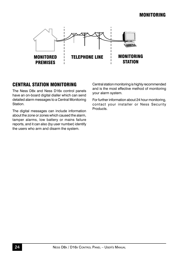## Monitoring



## Central Station Monitoring

The Ness D8x and Ness D16x control panels have an on-board digital dialler which can send detailed alarm messages to a Central Monitoring Station.

The digital messages can include information about the zone or zones which caused the alarm, tamper alarms, low battery or mains failure reports, and it can also (by user number) identify the users who arm and disarm the system.

Central station monitoring is highly recommended and is the most effective method of monitoring your alarm system.

For further information about 24 hour monitoring, contact your installer or Ness Security **Products**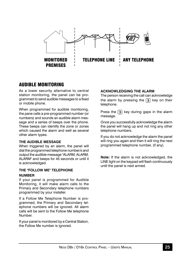

## Audible Monitoring

As a lower security alternative to central station monitoring, the panel can be programmed to send audible messages to a fixed or mobile phone.

When programmed for audible monitoring. the pane calls a pre-programmed number (or numbers) and sounds an audible alarm message and a series of beeps over the phone. These beeps can identify the zone or zones which caused the alarm and well as several other alarm types.

#### **The Audible Message**

When triggered by an alarm, the panel will dial the programmed telephone number/s and output the audible message "ALARM, ALARM, ALARM" and beeps for 45 seconds or until it is acknowledged.

#### **The "Follow Me" telephone number**

If your panel is programmed for Audible Monitoring, it will make alarm calls to the Primary and Secondary telephone numbers programmed by your installer.

If a Follow Me Telephone Number is programmed, the Primary and Secondary telephone numbers will be ignored. All alarm calls will be sent to the Follow Me telephone Number.

If your panel is monitored by a Central Station, the Follow Me number is ignored.

#### **Acknowledging the alarm**

The person receiving the call can acknowledge the alarm by pressing the  $\overline{3}$  key on their telephone.

Press the  $\overline{3}$  key during gaps in the alarm message.

Once you successfully acknowledge the alarm the panel will hang up and not ring any other telephone numbers.

If you do not acknowledge the alarm the panel will ring you again and then it will ring the next programmed telephone number, (if any).

**Note:** If the alarm is not acknowledged, the LINE light on the keypad will flash continuously until the panel is next armed.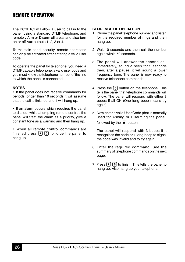## Remote Operation

The D8x/D16x will allow a user to call in to the panel, using a standard DTMF telephone, and remotely Arm or Disarm all areas and also turn on or off Aux outputs 1, 2, 3 or 4.

To maintain panel security, remote operations can only be activated after entering a valid user code.

To operate the panel by telephone, you need a DTMF capable telephone, a valid user code and you must know the telephone number of the line to which the panel is connected.

#### **NOTEs**

• If the panel does not receive commands for periods longer than 10 seconds it will assume that the call is finished and it will hang up.

• If an alarm occurs which requires the panel to dial out while attempting remote control, the panel will treat the alarm as a priority, give a constant tone as a warning and then hang up.

• When all remote control commands are finished press  $\mathbf{F}$   $\mathbf{F}$  to force the panel to hang up.

#### **Sequence of Operation.**

- 1. Phone the panel telephone number and listen for the required number of rings and then hang up.
- 2. Wait 10 seconds and then call the number again within 50 seconds.
- 3. The panel will answer the second call immediately, sound a beep for 2 seconds then, after a pause, it will sound a lower frequency tone. The panel is now ready to receive telephone commands.
- 4. Press the  $\boxed{0}$  button on the telephone. This tells the panel that telephone commands will follow. The panel will respond with either 3 beeps if all OK (One long beep means try again).
- 5. Now enter a valid User Code (that is normally used for Arming or Disarming the panel) followed by the  $\boxed{\text{#}}$  button.

 The panel will respond with 3 beeps if it recognises the code or 1 long beep to signal the code was invalid and to try again.

- 6. Enter the required command. See the summary of telephone commands on the next page.
- 7. Press  $\boxed{\ast}$   $\boxed{\sharp}$  to finish. This tells the panel to hang up. Also hang up your telephone.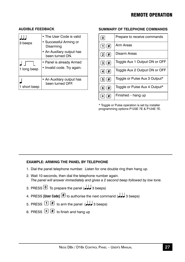## Remote Operation

|             | • The User Code is valid                               |
|-------------|--------------------------------------------------------|
| 3 beeps     | • Successful Arming or<br>Disarming                    |
|             | • An Auxiliary output has<br>been turned ON.           |
|             | • Panel is already Armed<br>• Invalid code. Try again. |
| 1 long beep |                                                        |
| short beep  | • An Auxiliary output has<br>been turned OFF.          |

#### **Audible Feedback**

#### **Summary of telephone commands**

| O                                                                                                         | Prepare to receive commands   |
|-----------------------------------------------------------------------------------------------------------|-------------------------------|
| $\lceil 1 \rceil$ # $\rceil$                                                                              | Arm Areas                     |
| $\left( 2\right) $ $\left( 4\right)$                                                                      | Disarm Areas                  |
| $\left( 3\right) \left( \# \right)$                                                                       | Toggle Aux 1 Output ON or OFF |
| $\left[\begin{matrix} 4 \end{matrix}\right]\left[\begin{matrix} \pmb{\overline{\mu}} \end{matrix}\right]$ | Toggle Aux 2 Output ON or OFF |
| 5   4                                                                                                     | Toggle or Pulse Aux 3 Output* |
| $(6)(\#)$                                                                                                 | Toggle or Pulse Aux 4 Output* |
| #<br>$\star$                                                                                              | Finished – hang up            |

\* Toggle or Pulse operation is set by installer programming options P123E 7E & P124E 7E.

#### **EXAMPLE: Arming the Panel by telephone**

- 1. Dial the panel telephone number. Listen for one double ring then hang up.
- 2. Wait 10 seconds, then dial the telephone number again. *The panel will answer immediately and gives a 2 second beep followed by low tone.*
- 3. PRESS  $\boxed{0}$  To prepare the panel ( $\boxed{1}$  3 beeps)
- 4. PRESS **[User Code]**  $\overline{4}$  to authorise the next command ( $\overline{3}$  beeps)
- 5. PRESS  $(1)$   $(4)$  to arm the panel  $($
- 6. PRESS  $\left(\frac{1}{2}\right)$  to finish and hang up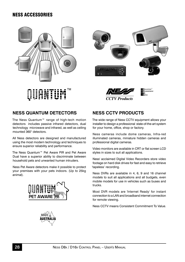## Ness Accessories







# nsistem<br>mmitment

## **Ness Quantum Detectors**

The Ness Quantum™ range of high-tech motion detectors includes passive infrared detectors, dual technology microwave and infrared, as well as ceiling mounted 360° detectors.

All Ness detectors are designed and manufactured using the most modern technology and techniques to ensure superior reliability and performance.

The Ness Quantum™ Pet Aware PIR and Pet Aware Dual have a superior ability to discriminate between household pets and unwanted human intruders.

Ness Pet Aware detectors make it possible to protect your premises with your pets indoors. (Up to 25kg animal).



## **Ness CCTV Products**

The wide range of Ness CCTV equipment allows your installer to design a professional state-of-the-art system for your home, office, shop or factory.

Ness cameras include dome cameras, Infra-red illuminated cameras, miniature hidden cameras and professional digital cameras.

Video monitors are available in CRT or flat screen LCD styles in sizes to suit all applications.

Ness' acclaimed Digital Video Recorders store video footage on hard disk drives for fast and easy to retrieve 'tapeless' recording.

Ness DVRs are available in 4, 6, 9 and 16 channel models to suit all applications and all budgets, even mobile models for use in vehicles such as buses and trucks.

Most DVR models are 'Internet Ready' for instant connection to a LAN and broadband internet connection for remote viewing.

Ness CCTV means Consistent Commitment To Value.

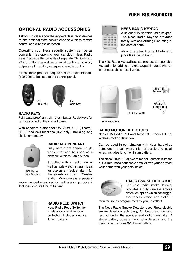## WIRFI FSS PRODUCTS

## **Optional Radio Accessories**

Ask your installer about the range of Ness radio devices for the optional extra convenience of wireless remote control and wireless detection.

Operating your Ness security system can be as convenient as opening your car door. Ness Radio Keys™ provide the benefits of separate ON, OFF and PANIC buttons as well as optional control of auxiliary outputs - all in a slim, waterproof remote control.

\* Ness radio products require a Ness Radio Interface (100-200) to be fitted to the control panel.





Radio Key

#### **Radio Keys**

Fully waterproof, ultra slim 3 or 4 button Radio Keys for remote control of the control panel.

With separate buttons for ON (Arm), OFF (Disarm), PANIC and AUX functions (RK4 only). Including long life lithium battery.



RK1 Radio Key Pendant

#### **Radio Key Pendant**

Fully waterproof pendant style transmitter can be used as a portable wireless Panic button.

RK3 Radio Key

Supplied with a neckchain as well as wristwatch straps. Ideal for use as a medical alarm for the elderly or infirm. (Central Station Monitoring is especially

recommended when used for medical alarm purposes). Includes long life lithium battery.



#### **Radio Reed Switch**

Ness Radio Reed Switch for wireless door and window protection. Includes long life lithium battery.



#### **Ness Radio Keypad**

A unique fully portable radio keypad. The Ness Radio Keypad provides totally wireless Arming/Disarming of the control panel.

Also operates Home Mode and provides a Panic alarm.

The Ness Radio Keypad is suitable for use as a portable keypad or for adding an extra keypad in areas where it is not possible to install wires.







R15 Radio PIR

#### **Radio Motion Detectors**

Ness R15 Radio PIR and Ness R12 Radio PIR for wireless motion detection.

Can be used in combination with Ness hardwired detectors in areas where it is not possible to install wires. Includes long life lithium battery.

The Ness R15PET Pet Aware model detects humans but is immune to household pets. Allows you to protect your home with your pets inside.



#### **Radio Smoke Detector**

The Ness Radio Smoke Detector provides a fully wireless smoke detection option which can trigger the panel's siren/s and dialler if

required (or as programmed by your installer.)

The Ness Radio Smoke Detector uses Photo-electric smoke detection technology. On board sounder and test button for the sounder and radio transmitter. A single battery powers the smoke detector and the transmitter. Includes 9V lithium battery.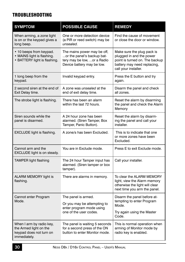## Troubleshooting

| <b>SYMPTOM</b>                                                                                | <b>POSSIBLE CAUSE</b>                                                                                                  | <b>REMEDY</b>                                                                                                                                   |
|-----------------------------------------------------------------------------------------------|------------------------------------------------------------------------------------------------------------------------|-------------------------------------------------------------------------------------------------------------------------------------------------|
| When arming, a zone light<br>is on or the keypad gives a<br>long beep.                        | One or more detection device<br>(a PIR or reed switch) may be<br>unsealed.                                             | Find the cause of movement<br>or close the door or window.                                                                                      |
| • 10 beeps from keypad.<br>• MAINS light is flashing.<br>• BATTERY light is flashing.         | The mains power may be off,<br>or the panel's backup bat-<br>tery may be low, or a Radio<br>Device battery may be low. | Make sure the plug pack is<br>plugged in and the power<br>point is turned on. The backup<br>battery may need replacing,<br>call your installer. |
| 1 long beep from the<br>keypad.                                                               | Invalid keypad entry.                                                                                                  | Press the E button and try<br>again.                                                                                                            |
| 2 second siren at the end of<br>Exit Delay time.                                              | A zone was <i>unsealed</i> at the<br>end of exit delay time.                                                           | Disarm the panel and check<br>all zones.                                                                                                        |
| The strobe light is flashing.                                                                 | There has been an alarm<br>within the last 72 hours.                                                                   | Reset the alarm by disarming<br>the panel and check the Alarm<br>Memory                                                                         |
| Siren sounds while the<br>panel is disarmed.                                                  | A 24 hour zone has been<br>alarmed. (Siren Tamper, Box<br>Tamper, Panic Button).                                       | Reset the alarm by disarm-<br>ing the panel and call your<br>installer.                                                                         |
| EXCLUDE light is flashing.                                                                    | A zone/s has been Excluded.                                                                                            | This is to indicate that one<br>or more zones have been<br>Excluded.                                                                            |
| Cannot arm and the<br>EXCLUDE light is on steady.                                             | You are in Exclude mode.                                                                                               | Press E to exit Exclude mode.                                                                                                                   |
| <b>TAMPER light flashing</b>                                                                  | The 24 hour Tamper input has<br>alarmed. (Siren tamper or box<br>tamper).                                              | Call your installer.                                                                                                                            |
| ALARM MEMORY light is<br>flashing.                                                            | There are alarms in memory.                                                                                            | To clear the ALARM MEMORY<br>light, view the Alarm memory<br>otherwise the light will clear<br>next time you arm the panel.                     |
| Cannot enter Program<br>Mode.                                                                 | The panel is armed.<br>Or you may be attempting to<br>enter program mode using<br>one of the user codes.               | Disarm the panel before at-<br>tempting to enter Program<br>Mode.<br>Try again using the Master<br>Code.                                        |
| When I arm by radio key,<br>the Armed light on the<br>keypad does not turn on<br>immediately. | The panel is waiting 5 seconds<br>for a second press of the ON<br>button to enter Monitor mode.                        | This is normal operation when<br>arming of Monitor mode by<br>radio key is enabled.                                                             |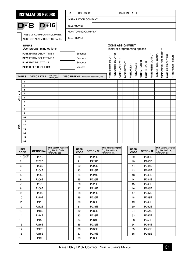## **INSTALLATION RECORD**

D\*8

© 2004 Ness Security Products



DATE PURCHASED:  $\vert$  DATE INSTALLED:

INSTALLATION COMPANY:

TELEPHONE:

TELEPHONE:

MONITORING COMPANY:

NESS D8 ALARM CONTROL PANEL NESS D16 ALARM CONTROL PANEL

#### **TIMERS PATHERESIGNMENT**<br>
Installer programming options<br>
The ELAY 2 ELAY DELAY 1<br>
THERE ENTRY DELAY 2<br>
THERE ASSIGNMENT<br>
THERE ASSIGNMENT<br>
THERE ASSIGNMENT<br>
THERE ASSIGNMENT<br>
THERE ASSIGNMENT<br>
THERE ASSIGNMENT<br>
THERE ASSIGNMENT<br> User programming options P56E SONALERT OUTPUT **P56E** SONALERT OUTPUT **P26E** ENTRY DELAY TIME 1 Seconds P55E STROBE OUTPUT **P55E** STROBE OUTPUT P54E RESET OUTPUT **P54E** RESET OUTPUT P57E SIREN OUTPUT **P43E** ENTRY DELAY 2 **P57E** SIREN OUTPUT P74E Report (dialler) **P74E** Report (dialler) **P27E** ENTRY DELAY TIME 2 Seconds **P42E** HANDOVER P51E MONITOR P52E 24 HOUR **P28E** EXIT DELAY TIME Seconds **P51E** MONITOR **P40E** INSTANT **P52E** 24 HOUR **P45E** AREA 1 **P46E** AREA 2 **P29E** SIREN RESET TIME Minutes **DEVICE TYPE** PIR, Reed **ZONES DESCRIPTION** Entrance, bedroom1, etc **1 2 3** D8 & D16 D8 & D16 **4 5 6 7 8**

|                 | ີ<br>o   |  |  |  |  |  |  |  |  |
|-----------------|----------|--|--|--|--|--|--|--|--|
|                 | $\Omega$ |  |  |  |  |  |  |  |  |
|                 | 10       |  |  |  |  |  |  |  |  |
|                 |          |  |  |  |  |  |  |  |  |
| D <sub>16</sub> | 12       |  |  |  |  |  |  |  |  |
|                 | 13       |  |  |  |  |  |  |  |  |
|                 | 14       |  |  |  |  |  |  |  |  |
|                 | 15       |  |  |  |  |  |  |  |  |
|                 | 16       |  |  |  |  |  |  |  |  |

| <b>USER</b><br><b>CODE</b> | <b>OPTION No</b> | <b>Extra Options Assigned</b><br>E.g. Radio Code,<br>Arm Only, etc. | <b>USER</b><br><b>CODE</b> | <b>OPTION No</b> | <b>Extra Options Assigned</b><br>E.g. Radio Code,<br>Arm Only, etc. | <b>USER</b><br><b>CODE</b> | <b>OPTION No</b> | <b>Extra Options Assigned</b><br>E.g. Radio Code,<br>Arm Only, etc. |
|----------------------------|------------------|---------------------------------------------------------------------|----------------------------|------------------|---------------------------------------------------------------------|----------------------------|------------------|---------------------------------------------------------------------|
| Master<br>Code             | P201E            |                                                                     | 20                         | P220E            |                                                                     | 39                         | P239E            |                                                                     |
| $\overline{c}$             | P202E            |                                                                     | 21                         | P221E            |                                                                     | 40                         | P240E            |                                                                     |
| 3                          | P203E            |                                                                     | 22                         | P222E            |                                                                     | 41                         | <b>P241E</b>     |                                                                     |
| $\overline{4}$             | P204E            |                                                                     | 23                         | P223E            |                                                                     | 42                         | <b>P242E</b>     |                                                                     |
| 5                          | P205E            |                                                                     | 24                         | P224E            |                                                                     | 43                         | P243E            |                                                                     |
| 6                          | P206E            |                                                                     | 25                         | P225E            |                                                                     | 44                         | <b>P244E</b>     |                                                                     |
| $\overline{7}$             | P207E            |                                                                     | 26                         | P226E            |                                                                     | 45                         | P245E            |                                                                     |
| 8                          | P208E            |                                                                     | 27                         | <b>P227E</b>     |                                                                     | 46                         | P246E            |                                                                     |
| 9                          | P209E            |                                                                     | 28                         | P228E            |                                                                     | 47                         | <b>P247E</b>     |                                                                     |
| 10                         | P210E            |                                                                     | 29                         | P229E            |                                                                     | 48                         | P248E            |                                                                     |
| 11                         | P211E            |                                                                     | 30                         | P230E            |                                                                     | 49                         | P249E            |                                                                     |
| 12                         | P212E            |                                                                     | 31                         | P231E            |                                                                     | 50                         | P250E            |                                                                     |
| 13                         | P213E            |                                                                     | 32                         | P232E            |                                                                     | 51                         | P251E            |                                                                     |
| 14                         | P214E            |                                                                     | 33                         | P233E            |                                                                     | 52                         | P252E            |                                                                     |
| 15                         | P215E            |                                                                     | 34                         | P234E            |                                                                     | 53                         | <b>P253E</b>     |                                                                     |
| 16                         | P216E            |                                                                     | 35                         | P235E            |                                                                     | 54                         | P254E            |                                                                     |
| 17                         | P217E            |                                                                     | 36                         | P236E            |                                                                     | 55                         | P255E            |                                                                     |
| 18                         | P218E            |                                                                     | 37                         | P237E            |                                                                     | 56                         | P256E            |                                                                     |
| 19                         | P219E            |                                                                     | 38                         | P238E            |                                                                     |                            |                  |                                                                     |